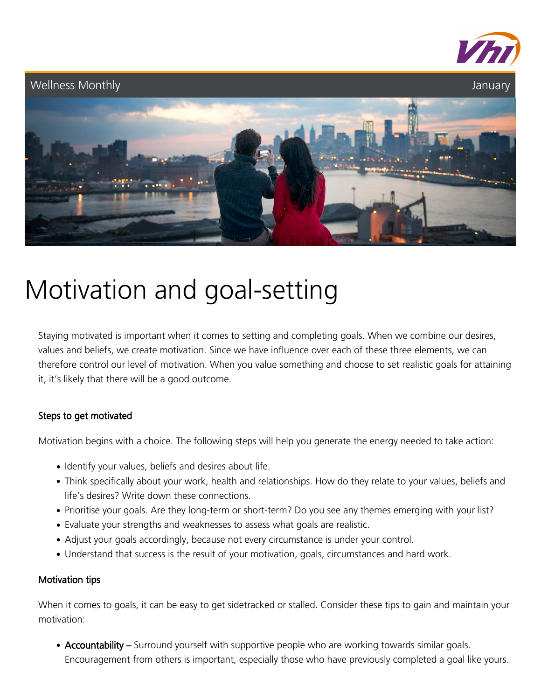

# Wellness Monthly **Structures** and the *Structures* of *January January January*

# Motivation and goal-setting

Staying motivated is important when it comes to setting and completing goals. When we combine our desires, values and beliefs, we create motivation. Since we have influence over each of these three elements, we can therefore control our level of motivation. When you value something and choose to set realistic goals for attaining it, it's likely that there will be a good outcome.

### Steps to get motivated

Motivation begins with a choice. The following steps will help you generate the energy needed to take action:

- Identify your values, beliefs and desires about life.
- Think specifically about your work, health and relationships. How do they relate to your values, beliefs and life's desires? Write down these connections.
- Prioritise your goals. Are they long-term or short-term? Do you see any themes emerging with your list?
- Evaluate your strengths and weaknesses to assess what goals are realistic.
- Adjust your goals accordingly, because not every circumstance is under your control.
- Understand that success is the result of your motivation, goals, circumstances and hard work.

#### Motivation tips

When it comes to goals, it can be easy to get sidetracked or stalled. Consider these tips to gain and maintain your motivation:

• Accountability – Surround yourself with supportive people who are working towards similar goals. Encouragement from others is important, especially those who have previously completed a goal like yours.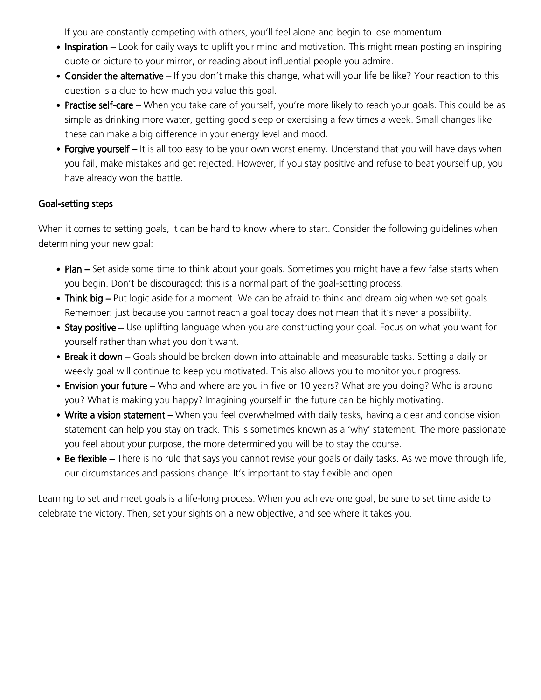If you are constantly competing with others, you'll feel alone and begin to lose momentum.

- Inspiration Look for daily ways to uplift your mind and motivation. This might mean posting an inspiring quote or picture to your mirror, or reading about influential people you admire.
- Consider the alternative If you don't make this change, what will your life be like? Your reaction to this question is a clue to how much you value this goal.
- Practise self-care When you take care of yourself, you're more likely to reach your goals. This could be as simple as drinking more water, getting good sleep or exercising a few times a week. Small changes like these can make a big difference in your energy level and mood.
- Forgive yourself It is all too easy to be your own worst enemy. Understand that you will have days when you fail, make mistakes and get rejected. However, if you stay positive and refuse to beat yourself up, you have already won the battle.

## Goal-setting steps

When it comes to setting goals, it can be hard to know where to start. Consider the following guidelines when determining your new goal:

- Plan Set aside some time to think about your goals. Sometimes you might have a few false starts when you begin. Don't be discouraged; this is a normal part of the goal-setting process.
- Think big Put logic aside for a moment. We can be afraid to think and dream big when we set goals. Remember: just because you cannot reach a goal today does not mean that it's never a possibility.
- Stay positive Use uplifting language when you are constructing your goal. Focus on what you want for yourself rather than what you don't want.
- Break it down Goals should be broken down into attainable and measurable tasks. Setting a daily or weekly goal will continue to keep you motivated. This also allows you to monitor your progress.
- Envision your future Who and where are you in five or 10 years? What are you doing? Who is around you? What is making you happy? Imagining yourself in the future can be highly motivating.
- Write a vision statement When you feel overwhelmed with daily tasks, having a clear and concise vision statement can help you stay on track. This is sometimes known as a 'why' statement. The more passionate you feel about your purpose, the more determined you will be to stay the course.
- Be flexible There is no rule that says you cannot revise your goals or daily tasks. As we move through life, our circumstances and passions change. It's important to stay flexible and open.

Learning to set and meet goals is a life-long process. When you achieve one goal, be sure to set time aside to celebrate the victory. Then, set your sights on a new objective, and see where it takes you.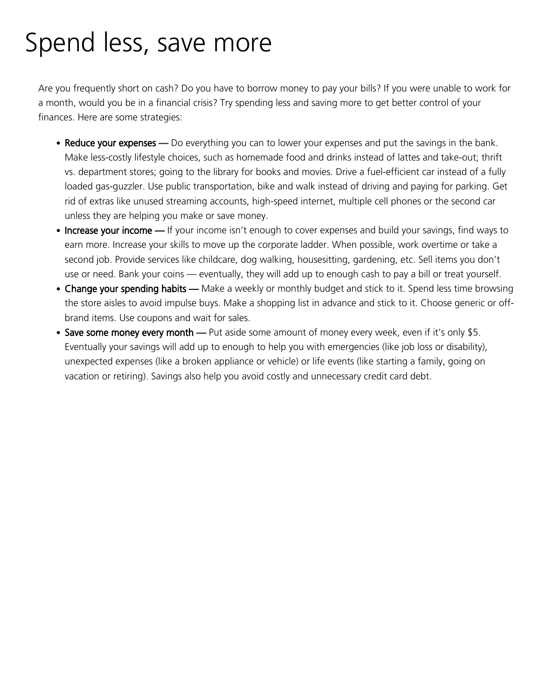## Spend less, save more

Are you frequently short on cash? Do you have to borrow money to pay your bills? If you were unable to work for a month, would you be in a financial crisis? Try spending less and saving more to get better control of your finances. Here are some strategies:

- Reduce your expenses Do everything you can to lower your expenses and put the savings in the bank. Make less-costly lifestyle choices, such as homemade food and drinks instead of lattes and take-out; thrift vs. department stores; going to the library for books and movies. Drive a fuel-efficient car instead of a fully loaded gas-guzzler. Use public transportation, bike and walk instead of driving and paying for parking. Get rid of extras like unused streaming accounts, high-speed internet, multiple cell phones or the second car unless they are helping you make or save money.
- Increase your income If your income isn't enough to cover expenses and build your savings, find ways to earn more. Increase your skills to move up the corporate ladder. When possible, work overtime or take a second job. Provide services like childcare, dog walking, housesitting, gardening, etc. Sell items you don't use or need. Bank your coins — eventually, they will add up to enough cash to pay a bill or treat yourself.
- Change your spending habits Make a weekly or monthly budget and stick to it. Spend less time browsing the store aisles to avoid impulse buys. Make a shopping list in advance and stick to it. Choose generic or offbrand items. Use coupons and wait for sales.
- Save some money every month Put aside some amount of money every week, even if it's only \$5. Eventually your savings will add up to enough to help you with emergencies (like job loss or disability), unexpected expenses (like a broken appliance or vehicle) or life events (like starting a family, going on vacation or retiring). Savings also help you avoid costly and unnecessary credit card debt.